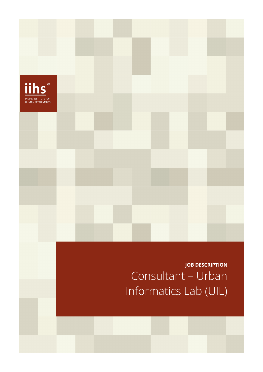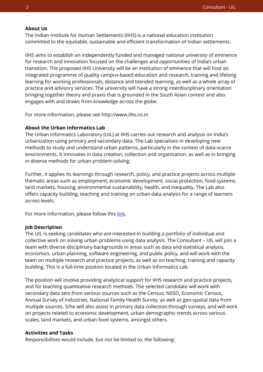### **About Us**

The Indian Institute for Human Settlements (IIHS) is a national education institution committed to the equitable, sustainable and efficient transformation of Indian settlements.

IIHS aims to establish an independently funded and managed national university of eminence for research and innovation focused on the challenges and opportunities of India's urban transition. The proposed IIHS University will be an institution of eminence that will host an integrated programme of quality campus-based education and research, training and lifelong learning for working professionals, distance and blended learning, as well as a whole array of practice and advisory services. The university will have a strong interdisciplinary orientation bringing together theory and praxis that is grounded in the South Asian context and also engages with and draws from knowledge across the globe.

For more information, please see http://www.iihs.co.in

### **About the Urban Informatics Lab**

The Urban Informatics Laboratory (UIL) at IIHS carries out research and analysis on India's urbanization using primary and secondary data. The Lab specialises in developing new methods to study and understand urban patterns, particularly in the context of data-scarce environments. It innovates in data creation, collection and organisation, as well as in bringing in diverse methods for urban problem-solving.

Further, it applies its learnings through research, policy, and practice projects across multiple thematic areas such as employment, economic development, social protection, food systems, land markets, housing, environmental sustainability, health, and inequality. The Lab also offers capacity building, teaching and training on urban data analysis for a range of learners across levels.

For more information, please follow thi[s link.](https://iihs.co.in/research/labs/urban-informatics-lab/)

#### **Job Description**

The UIL is seeking candidates who are interested in building a portfolio of individual and collective work on solving urban problems using data analysis. The Consultant – UIL will join a team with diverse disciplinary backgrounds in areas such as data and statistical analysis, economics, urban planning, software engineering, and public policy, and will work with the team on multiple research and practice projects, as well as on teaching, training and capacity building. This is a full-time position located in the Urban Informatics Lab.

The position will involve providing analytical support for IIHS research and practice projects, and for teaching quantitative research methods. The selected candidate will work with secondary data sets from various sources such as the Census, NSSO, Economic Census, Annual Survey of Industries, National Family Health Survey, as well as geo-spatial data from multiple sources. S/he will also assist in primary data collection through surveys, and will work on projects related to economic development, urban demographic trends across various scales, land markets, and urban food systems, amongst others.

### **Activities and Tasks**

Responsibilities would include, but not be limited to, the following: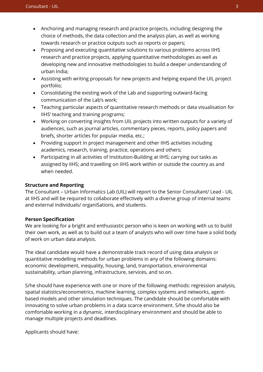- Anchoring and managing research and practice projects, including designing the choice of methods, the data collection and the analysis plan, as well as working towards research or practice outputs such as reports or papers;
- Proposing and executing quantitative solutions to various problems across IIHS research and practice projects, applying quantitative methodologies as well as developing new and innovative methodologies to build a deeper understanding of urban India;
- Assisting with writing proposals for new projects and helping expand the UIL project portfolio;
- Consolidating the existing work of the Lab and supporting outward-facing communication of the Lab's work;
- Teaching particular aspects of quantitative research methods or data visualisation for IIHS' teaching and training programs;
- Working on converting insights from UIL projects into written outputs for a variety of audiences, such as journal articles, commentary pieces, reports, policy papers and briefs, shorter articles for popular media, etc.;
- Providing support in project management and other IIHS activities including academics, research, training, practice, operations and others;
- Participating in all activities of Institution-Building at IIHS; carrying out tasks as assigned by IIHS; and travelling on IIHS work within or outside the country as and when needed.

# **Structure and Reporting**

The Consultant – Urban Informatics Lab (UIL) will report to the Senior Consultant/ Lead - UIL at IIHS and will be required to collaborate effectively with a diverse group of internal teams and external individuals/ organiSations, and students.

## **Person Specification**

We are looking for a bright and enthusiastic person who is keen on working with us to build their own work, as well as to build out a team of analysts who will over time have a solid body of work on urban data analysis.

The ideal candidate would have a demonstrable track record of using data analysis or quantitative modelling methods for urban problems in any of the following domains: economic development, inequality, housing, land, transportation, environmental sustainability, urban planning, infrastructure, services, and so on.

S/he should have experience with one or more of the following methods: regression analysis, spatial statistics/econometrics, machine learning, complex systems and networks, agentbased models and other simulation techniques. The candidate should be comfortable with innovating to solve urban problems in a data scarce environment. S/he should also be comfortable working in a dynamic, interdisciplinary environment and should be able to manage multiple projects and deadlines.

Applicants should have: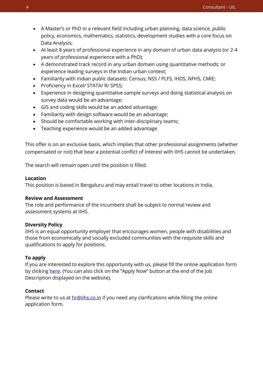- A Master's or PhD in a relevant field including urban planning, data science, public policy, economics, mathematics, statistics, development studies with a core focus on Data Analysis;
- At least 8 years of professional experience in any domain of urban data analysis (or 2-4 years of professional experience with a PhD);
- A demonstrated track record in any urban domain using quantitative methods; or experience leading surveys in the Indian urban context;
- Familiarity with Indian public datasets: Census, NSS / PLFS, IHDS, NFHS, CMIE;
- Proficiency in Excel/ STATA/ R/ SPSS;
- Experience in designing quantitative sample surveys and doing statistical analysis on survey data would be an advantage;
- GIS and coding skills would be an added advantage;
- Familiarity with design software would be an advantage;
- Should be comfortable working with inter-disciplinary teams;
- Teaching experience would be an added advantage.

This offer is on an exclusive basis, which implies that other professional assignments (whether compensated or not) that bear a potential conflict of interest with IIHS cannot be undertaken.

The search will remain open until the position is filled.

## **Location**

This position is based in Bengaluru and may entail travel to other locations in India.

# **Review and Assessment**

The role and performance of the incumbent shall be subject to normal review and assessment systems at IIHS.

# **Diversity Policy**

IIHS is an equal opportunity employer that encourages women, people with disabilities and those from economically and socially excluded communities with the requisite skills and qualifications to apply for positions.

# **To apply**

If you are interested to explore this opportunity with us, please fill the online application form by clicking [here.](https://iihs.co.in/job-application/) (You can also click on the "Apply Now" button at the end of the Job Description displayed on the website).

# **Contact**

Please write to us at **hr@iihs.co.in** if you need any clarifications while filling the online application form.